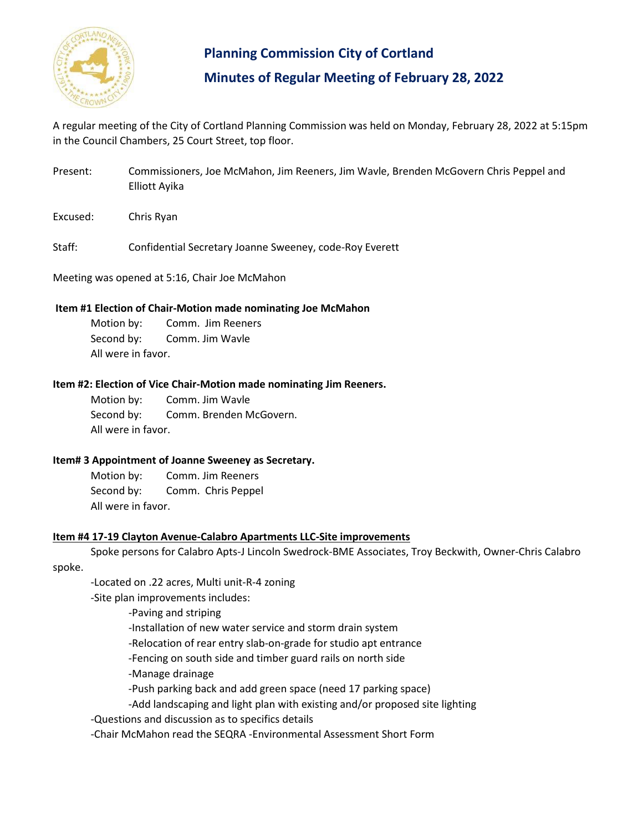

# **Planning Commission City of Cortland Minutes of Regular Meeting of February 28, 2022**

A regular meeting of the City of Cortland Planning Commission was held on Monday, February 28, 2022 at 5:15pm in the Council Chambers, 25 Court Street, top floor.

- Present: Commissioners, Joe McMahon, Jim Reeners, Jim Wavle, Brenden McGovern Chris Peppel and Elliott Ayika
- Excused: Chris Ryan

Staff: Confidential Secretary Joanne Sweeney, code-Roy Everett

Meeting was opened at 5:16, Chair Joe McMahon

#### **Item #1 Election of Chair-Motion made nominating Joe McMahon**

Motion by: Comm. Jim Reeners Second by: Comm. Jim Wavle All were in favor.

#### **Item #2: Election of Vice Chair-Motion made nominating Jim Reeners.**

Motion by: Comm. Jim Wavle Second by: Comm. Brenden McGovern. All were in favor.

#### **Item# 3 Appointment of Joanne Sweeney as Secretary.**

Motion by: Comm. Jim Reeners Second by: Comm. Chris Peppel All were in favor.

#### **Item #4 17-19 Clayton Avenue-Calabro Apartments LLC-Site improvements**

Spoke persons for Calabro Apts-J Lincoln Swedrock-BME Associates, Troy Beckwith, Owner-Chris Calabro spoke.

-Located on .22 acres, Multi unit-R-4 zoning

-Site plan improvements includes:

-Paving and striping

-Installation of new water service and storm drain system

-Relocation of rear entry slab-on-grade for studio apt entrance

-Fencing on south side and timber guard rails on north side

-Manage drainage

-Push parking back and add green space (need 17 parking space)

-Add landscaping and light plan with existing and/or proposed site lighting

-Questions and discussion as to specifics details

-Chair McMahon read the SEQRA -Environmental Assessment Short Form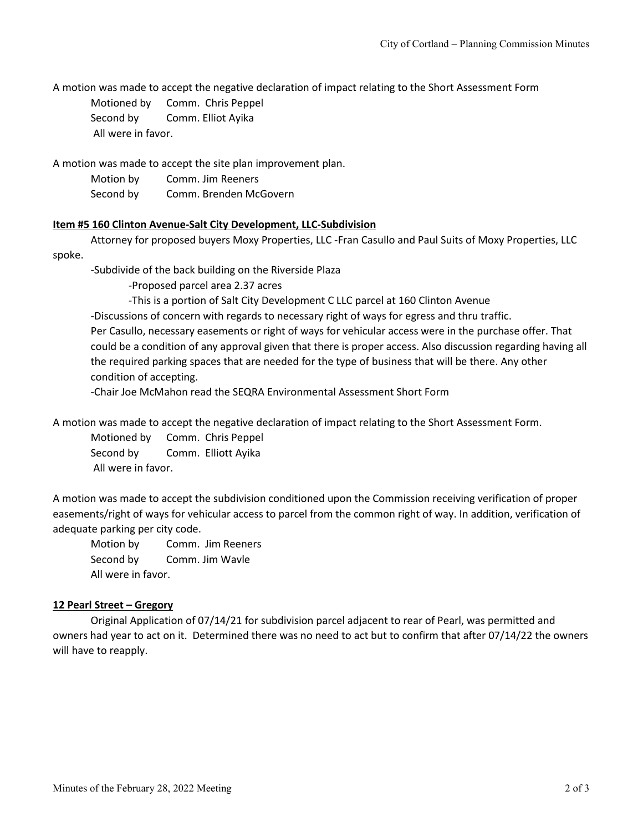A motion was made to accept the negative declaration of impact relating to the Short Assessment Form

Motioned by Comm. Chris Peppel Second by Comm. Elliot Ayika All were in favor.

A motion was made to accept the site plan improvement plan.

| Motion by | Comm. Jim Reeners      |
|-----------|------------------------|
| Second by | Comm. Brenden McGovern |

### **Item #5 160 Clinton Avenue-Salt City Development, LLC-Subdivision**

Attorney for proposed buyers Moxy Properties, LLC -Fran Casullo and Paul Suits of Moxy Properties, LLC spoke.

-Subdivide of the back building on the Riverside Plaza

-Proposed parcel area 2.37 acres

-This is a portion of Salt City Development C LLC parcel at 160 Clinton Avenue

-Discussions of concern with regards to necessary right of ways for egress and thru traffic.

Per Casullo, necessary easements or right of ways for vehicular access were in the purchase offer. That could be a condition of any approval given that there is proper access. Also discussion regarding having all the required parking spaces that are needed for the type of business that will be there. Any other condition of accepting.

-Chair Joe McMahon read the SEQRA Environmental Assessment Short Form

A motion was made to accept the negative declaration of impact relating to the Short Assessment Form.

Motioned by Comm. Chris Peppel Second by Comm. Elliott Ayika All were in favor.

A motion was made to accept the subdivision conditioned upon the Commission receiving verification of proper easements/right of ways for vehicular access to parcel from the common right of way. In addition, verification of adequate parking per city code.

Motion by Comm. Jim Reeners Second by Comm. Jim Wavle All were in favor.

## **12 Pearl Street – Gregory**

Original Application of 07/14/21 for subdivision parcel adjacent to rear of Pearl, was permitted and owners had year to act on it. Determined there was no need to act but to confirm that after 07/14/22 the owners will have to reapply.